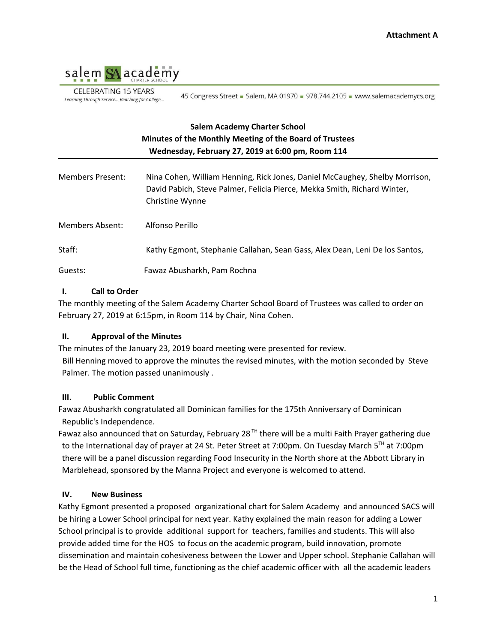

**CELEBRATING 15 YEARS** Learning Through Service... Reaching for College...

45 Congress Street - Salem, MA 01970 - 978.744.2105 - www.salemacademycs.org

# **Salem Academy Charter School Minutes of the Monthly Meeting of the Board of Trustees Wednesday, February 27, 2019 at 6:00 pm, Room 114**

| Members Present: | Nina Cohen, William Henning, Rick Jones, Daniel McCaughey, Shelby Morrison,<br>David Pabich, Steve Palmer, Felicia Pierce, Mekka Smith, Richard Winter,<br>Christine Wynne |
|------------------|----------------------------------------------------------------------------------------------------------------------------------------------------------------------------|
| Members Absent:  | Alfonso Perillo                                                                                                                                                            |
| Staff:           | Kathy Egmont, Stephanie Callahan, Sean Gass, Alex Dean, Leni De los Santos,                                                                                                |
| Guests:          | Fawaz Abusharkh, Pam Rochna                                                                                                                                                |

### **I. Call to Order**

The monthly meeting of the Salem Academy Charter School Board of Trustees was called to order on February 27, 2019 at 6:15pm, in Room 114 by Chair, Nina Cohen.

### **II. Approval of the Minutes**

The minutes of the January 23, 2019 board meeting were presented for review. Bill Henning moved to approve the minutes the revised minutes, with the motion seconded by Steve Palmer. The motion passed unanimously .

### **III. Public Comment**

Fawaz Abusharkh congratulated all Dominican families for the 175th Anniversary of Dominican Republic's Independence.

Fawaz also announced that on Saturday, February 28<sup>TH</sup> there will be a multi Faith Prayer gathering due to the International day of prayer at 24 St. Peter Street at 7:00pm. On Tuesday March 5<sup>TH</sup> at 7:00pm there will be a panel discussion regarding Food Insecurity in the North shore at the Abbott Library in Marblehead, sponsored by the Manna Project and everyone is welcomed to attend.

### **IV. New Business**

Kathy Egmont presented a proposed organizational chart for Salem Academy and announced SACS will be hiring a Lower School principal for next year. Kathy explained the main reason for adding a Lower School principal is to provide additional support for teachers, families and students. This will also provide added time for the HOS to focus on the academic program, build innovation, promote dissemination and maintain cohesiveness between the Lower and Upper school. Stephanie Callahan will be the Head of School full time, functioning as the chief academic officer with all the academic leaders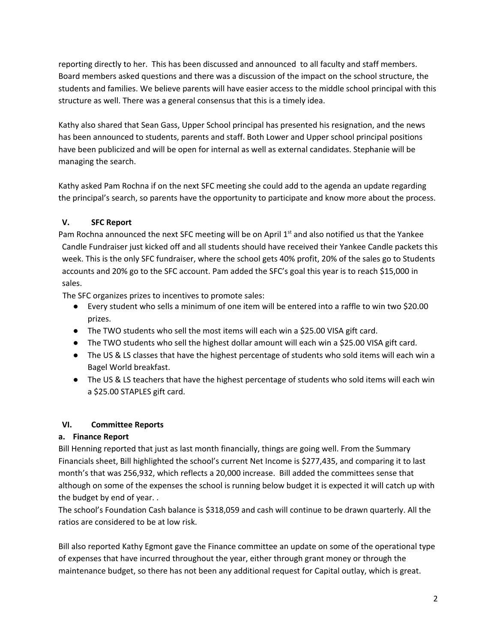reporting directly to her. This has been discussed and announced to all faculty and staff members. Board members asked questions and there was a discussion of the impact on the school structure, the students and families. We believe parents will have easier access to the middle school principal with this structure as well. There was a general consensus that this is a timely idea.

Kathy also shared that Sean Gass, Upper School principal has presented his resignation, and the news has been announced to students, parents and staff. Both Lower and Upper school principal positions have been publicized and will be open for internal as well as external candidates. Stephanie will be managing the search.

Kathy asked Pam Rochna if on the next SFC meeting she could add to the agenda an update regarding the principal's search, so parents have the opportunity to participate and know more about the process.

# **V. SFC Report**

Pam Rochna announced the next SFC meeting will be on April  $1<sup>st</sup>$  and also notified us that the Yankee Candle Fundraiser just kicked off and all students should have received their Yankee Candle packets this week. This is the only SFC fundraiser, where the school gets 40% profit, 20% of the sales go to Students accounts and 20% go to the SFC account. Pam added the SFC's goal this year is to reach \$15,000 in sales.

The SFC organizes prizes to incentives to promote sales:

- Every student who sells a minimum of one item will be entered into a raffle to win two \$20.00 prizes.
- The TWO students who sell the most items will each win a \$25.00 VISA gift card.
- The TWO students who sell the highest dollar amount will each win a \$25.00 VISA gift card.
- The US & LS classes that have the highest percentage of students who sold items will each win a Bagel World breakfast.
- The US & LS teachers that have the highest percentage of students who sold items will each win a \$25.00 STAPLES gift card.

# **VI. Committee Reports**

# **a. Finance Report**

Bill Henning reported that just as last month financially, things are going well. From the Summary Financials sheet, Bill highlighted the school's current Net Income is \$277,435, and comparing it to last month's that was 256,932, which reflects a 20,000 increase. Bill added the committees sense that although on some of the expenses the school is running below budget it is expected it will catch up with the budget by end of year. .

The school's Foundation Cash balance is \$318,059 and cash will continue to be drawn quarterly. All the ratios are considered to be at low risk.

Bill also reported Kathy Egmont gave the Finance committee an update on some of the operational type of expenses that have incurred throughout the year, either through grant money or through the maintenance budget, so there has not been any additional request for Capital outlay, which is great.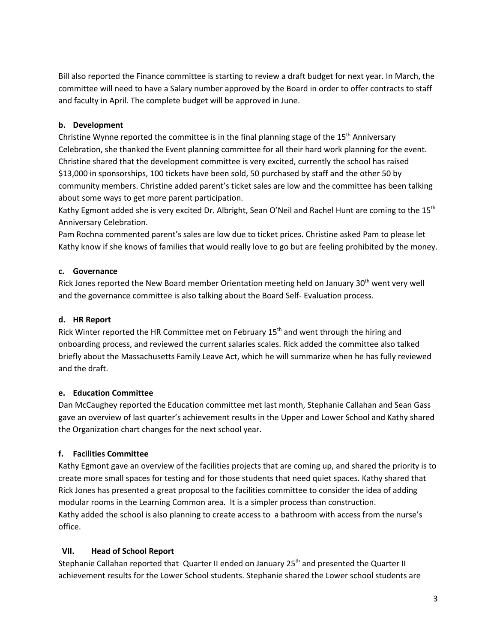Bill also reported the Finance committee is starting to review a draft budget for next year. In March, the committee will need to have a Salary number approved by the Board in order to offer contracts to staff and faculty in April. The complete budget will be approved in June.

## **b. Development**

Christine Wynne reported the committee is in the final planning stage of the 15<sup>th</sup> Anniversary Celebration, she thanked the Event planning committee for all their hard work planning for the event. Christine shared that the development committee is very excited, currently the school has raised \$13,000 in sponsorships, 100 tickets have been sold, 50 purchased by staff and the other 50 by community members. Christine added parent's ticket sales are low and the committee has been talking about some ways to get more parent participation.

Kathy Egmont added she is very excited Dr. Albright, Sean O'Neil and Rachel Hunt are coming to the 15<sup>th</sup> Anniversary Celebration.

Pam Rochna commented parent's sales are low due to ticket prices. Christine asked Pam to please let Kathy know if she knows of families that would really love to go but are feeling prohibited by the money.

## **c. Governance**

Rick Jones reported the New Board member Orientation meeting held on January 30<sup>th</sup> went very well and the governance committee is also talking about the Board Self- Evaluation process.

## **d. HR Report**

Rick Winter reported the HR Committee met on February 15<sup>th</sup> and went through the hiring and onboarding process, and reviewed the current salaries scales. Rick added the committee also talked briefly about the Massachusetts Family Leave Act, which he will summarize when he has fully reviewed and the draft.

# **e. Education Committee**

Dan McCaughey reported the Education committee met last month, Stephanie Callahan and Sean Gass gave an overview of last quarter's achievement results in the Upper and Lower School and Kathy shared the Organization chart changes for the next school year.

# **f. Facilities Committee**

Kathy Egmont gave an overview of the facilities projects that are coming up, and shared the priority is to create more small spaces for testing and for those students that need quiet spaces. Kathy shared that Rick Jones has presented a great proposal to the facilities committee to consider the idea of adding modular rooms in the Learning Common area. It is a simpler process than construction. Kathy added the school is also planning to create access to a bathroom with access from the nurse's office.

### **VII. Head of School Report**

Stephanie Callahan reported that Quarter II ended on January 25<sup>th</sup> and presented the Quarter II achievement results for the Lower School students. Stephanie shared the Lower school students are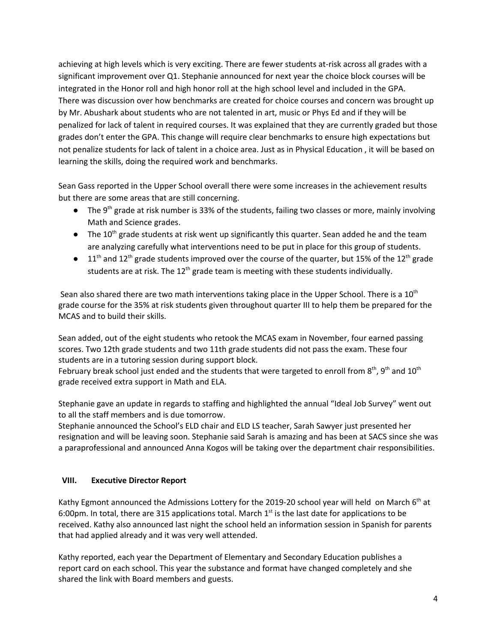achieving at high levels which is very exciting. There are fewer students at-risk across all grades with a significant improvement over Q1. Stephanie announced for next year the choice block courses will be integrated in the Honor roll and high honor roll at the high school level and included in the GPA. There was discussion over how benchmarks are created for choice courses and concern was brought up by Mr. Abushark about students who are not talented in art, music or Phys Ed and if they will be penalized for lack of talent in required courses. It was explained that they are currently graded but those grades don't enter the GPA. This change will require clear benchmarks to ensure high expectations but not penalize students for lack of talent in a choice area. Just as in Physical Education , it will be based on learning the skills, doing the required work and benchmarks.

Sean Gass reported in the Upper School overall there were some increases in the achievement results but there are some areas that are still concerning.

- The 9<sup>th</sup> grade at risk number is 33% of the students, failing two classes or more, mainly involving Math and Science grades.
- $\bullet$  The 10<sup>th</sup> grade students at risk went up significantly this quarter. Sean added he and the team are analyzing carefully what interventions need to be put in place for this group of students.
- $\bullet$  11<sup>th</sup> and 12<sup>th</sup> grade students improved over the course of the quarter, but 15% of the 12<sup>th</sup> grade students are at risk. The 12<sup>th</sup> grade team is meeting with these students individually.

Sean also shared there are two math interventions taking place in the Upper School. There is a 10<sup>th</sup> grade course for the 35% at risk students given throughout quarter III to help them be prepared for the MCAS and to build their skills.

Sean added, out of the eight students who retook the MCAS exam in November, four earned passing scores. Two 12th grade students and two 11th grade students did not pass the exam. These four students are in a tutoring session during support block.

February break school just ended and the students that were targeted to enroll from  $8<sup>th</sup>$ ,  $9<sup>th</sup>$  and  $10<sup>th</sup>$ grade received extra support in Math and ELA.

Stephanie gave an update in regards to staffing and highlighted the annual "Ideal Job Survey" went out to all the staff members and is due tomorrow.

Stephanie announced the School's ELD chair and ELD LS teacher, Sarah Sawyer just presented her resignation and will be leaving soon. Stephanie said Sarah is amazing and has been at SACS since she was a paraprofessional and announced Anna Kogos will be taking over the department chair responsibilities.

# **VIII. Executive Director Report**

Kathy Egmont announced the Admissions Lottery for the 2019-20 school year will held on March 6<sup>th</sup> at 6:00pm. In total, there are 315 applications total. March  $1<sup>st</sup>$  is the last date for applications to be received. Kathy also announced last night the school held an information session in Spanish for parents that had applied already and it was very well attended.

Kathy reported, each year the Department of Elementary and Secondary Education publishes a report card on each school. This year the substance and format have changed completely and she shared the link with Board members and guests.